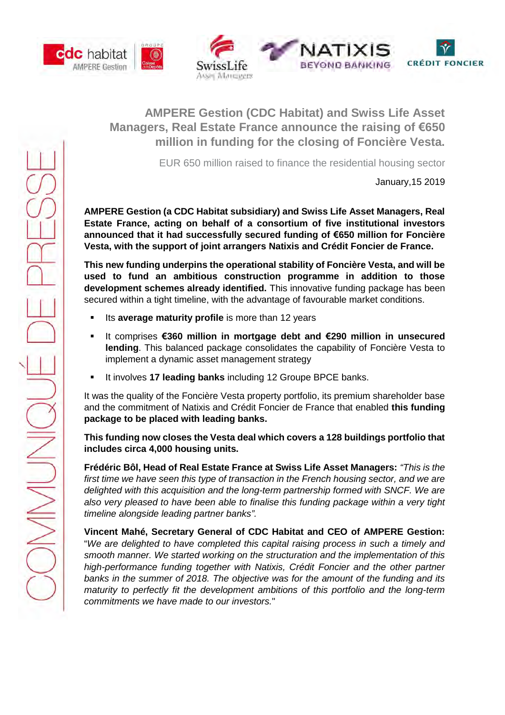





# **AMPERE Gestion (CDC Habitat) and Swiss Life Asset Managers, Real Estate France announce the raising of €650 million in funding for the closing of Foncière Vesta.**

EUR 650 million raised to finance the residential housing sector

January,15 2019

**AMPERE Gestion (a CDC Habitat subsidiary) and Swiss Life Asset Managers, Real Estate France, acting on behalf of a consortium of five institutional investors announced that it had successfully secured funding of €650 million for Foncière Vesta, with the support of joint arrangers Natixis and Crédit Foncier de France.**

**This new funding underpins the operational stability of Foncière Vesta, and will be used to fund an ambitious construction programme in addition to those development schemes already identified.** This innovative funding package has been secured within a tight timeline, with the advantage of favourable market conditions.

- Its **average maturity profile** is more than 12 years
- It comprises **€360 million in mortgage debt and €290 million in unsecured lending**. This balanced package consolidates the capability of Foncière Vesta to implement a dynamic asset management strategy
- **It involves 17 leading banks including 12 Groupe BPCE banks.**

It was the quality of the Foncière Vesta property portfolio, its premium shareholder base and the commitment of Natixis and Crédit Foncier de France that enabled **this funding package to be placed with leading banks.**

# **This funding now closes the Vesta deal which covers a 128 buildings portfolio that includes circa 4,000 housing units.**

**Frédéric Bôl, Head of Real Estate France at Swiss Life Asset Managers:** *"This is the first time we have seen this type of transaction in the French housing sector, and we are delighted with this acquisition and the long-term partnership formed with SNCF. We are also very pleased to have been able to finalise this funding package within a very tight timeline alongside leading partner banks".*

**Vincent Mahé, Secretary General of CDC Habitat and CEO of AMPERE Gestion:** "*We are delighted to have completed this capital raising process in such a timely and smooth manner. We started working on the structuration and the implementation of this high-performance funding together with Natixis, Crédit Foncier and the other partner banks in the summer of 2018. The objective was for the amount of the funding and its maturity to perfectly fit the development ambitions of this portfolio and the long-term commitments we have made to our investors.*"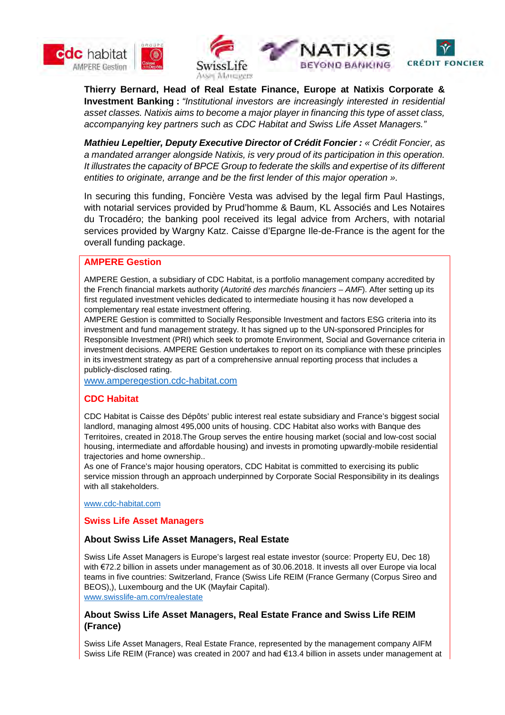





**Thierry Bernard, Head of Real Estate Finance, Europe at Natixis Corporate & Investment Banking :** *"Institutional investors are increasingly interested in residential asset classes. Natixis aims to become a major player in financing this type of asset class, accompanying key partners such as CDC Habitat and Swiss Life Asset Managers."*

*Mathieu Lepeltier, Deputy Executive Director of Crédit Foncier : « Crédit Foncier, as a mandated arranger alongside Natixis, is very proud of its participation in this operation. It illustrates the capacity of BPCE Group to federate the skills and expertise of its different entities to originate, arrange and be the first lender of this major operation ».*

In securing this funding, Foncière Vesta was advised by the legal firm Paul Hastings, with notarial services provided by Prud'homme & Baum, KL Associés and Les Notaires du Trocadéro; the banking pool received its legal advice from Archers, with notarial services provided by Wargny Katz. Caisse d'Epargne Ile-de-France is the agent for the overall funding package.

## **AMPERE Gestion**

AMPERE Gestion, a subsidiary of CDC Habitat, is a portfolio management company accredited by the French financial markets authority (*Autorité des marchés financiers – AMF*). After setting up its first regulated investment vehicles dedicated to intermediate housing it has now developed a complementary real estate investment offering.

AMPERE Gestion is committed to Socially Responsible Investment and factors ESG criteria into its investment and fund management strategy. It has signed up to the UN-sponsored Principles for Responsible Investment (PRI) which seek to promote Environment, Social and Governance criteria in investment decisions. AMPERE Gestion undertakes to report on its compliance with these principles in its investment strategy as part of a comprehensive annual reporting process that includes a publicly-disclosed rating.

www.amperegestion.cdc-habitat.com

# **CDC Habitat**

CDC Habitat is Caisse des Dépôts' public interest real estate subsidiary and France's biggest social landlord, managing almost 495,000 units of housing. CDC Habitat also works with Banque des Territoires, created in 2018.The Group serves the entire housing market (social and low-cost social housing, intermediate and affordable housing) and invests in promoting upwardly-mobile residential trajectories and home ownership..

As one of France's major housing operators, CDC Habitat is committed to exercising its public service mission through an approach underpinned by Corporate Social Responsibility in its dealings with all stakeholders.

www.cdc-habitat.com

#### **Swiss Life Asset Managers**

#### **About Swiss Life Asset Managers, Real Estate**

Swiss Life Asset Managers is Europe's largest real estate investor (source: Property EU, Dec 18) with €72.2 billion in assets under management as of 30.06.2018. It invests all over Europe via local teams in five countries: Switzerland, France (Swiss Life REIM (France Germany (Corpus Sireo and BEOS),), Luxembourg and the UK (Mayfair Capital). www.swisslife-am.com/realestate

**About Swiss Life Asset Managers, Real Estate France and Swiss Life REIM (France)**

Swiss Life Asset Managers, Real Estate France, represented by the management company AIFM Swiss Life REIM (France) was created in 2007 and had €13.4 billion in assets under management at